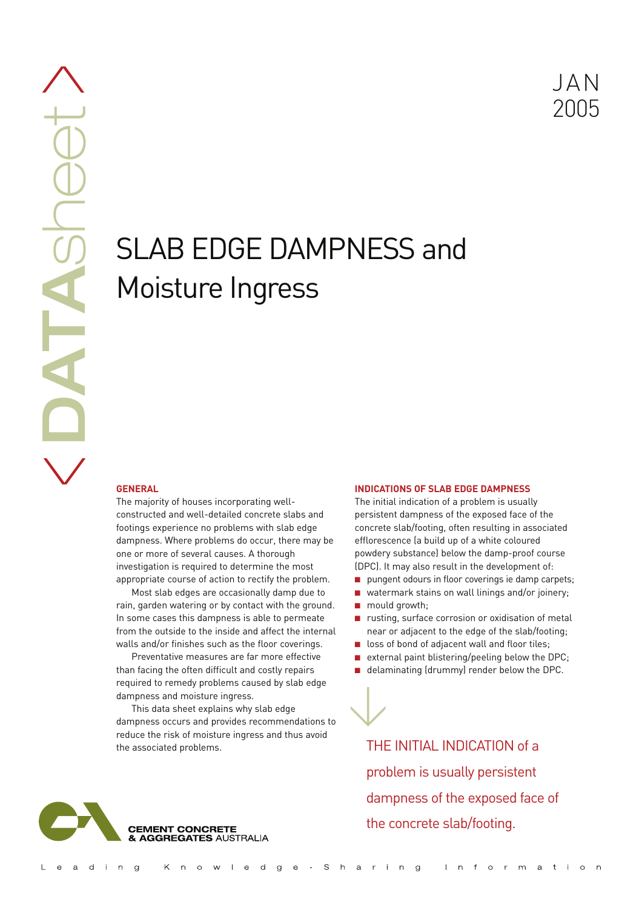JAN 2005

# SLAB EDGE DAMPNESS and Moisture Ingress

# **GENERAL**

The majority of houses incorporating wellconstructed and well-detailed concrete slabs and footings experience no problems with slab edge dampness. Where problems do occur, there may be one or more of several causes. A thorough investigation is required to determine the most appropriate course of action to rectify the problem.

Most slab edges are occasionally damp due to rain, garden watering or by contact with the ground. In some cases this dampness is able to permeate from the outside to the inside and affect the internal walls and/or finishes such as the floor coverings.

Preventative measures are far more effective than facing the often difficult and costly repairs required to remedy problems caused by slab edge dampness and moisture ingress.

This data sheet explains why slab edge dampness occurs and provides recommendations to reduce the risk of moisture ingress and thus avoid the associated problems.

### **INDICATIONS OF SLAB EDGE DAMPNESS**

The initial indication of a problem is usually persistent dampness of the exposed face of the concrete slab/footing, often resulting in associated efflorescence (a build up of a white coloured powdery substance) below the damp-proof course (DPC). It may also result in the development of:

- pungent odours in floor coverings ie damp carpets;
- watermark stains on wall linings and/or joinery;
- mould growth;

 $\bigvee$ 

- rusting, surface corrosion or oxidisation of metal near or adjacent to the edge of the slab/footing;
- loss of bond of adjacent wall and floor tiles;
- external paint blistering/peeling below the DPC;
- delaminating (drummy) render below the DPC.

THE INITIAL INDICATION of a problem is usually persistent dampness of the exposed face of the concrete slab/footing.

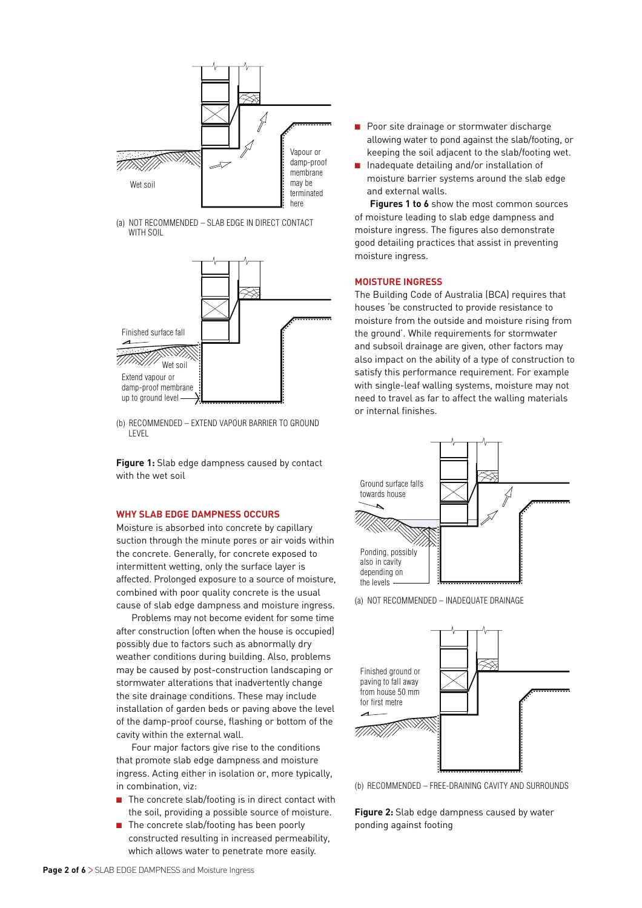

(a) NOT RECOMMENDED – SLAB EDGE IN DIRECT CONTACT WITH SOIL



(b) RECOMMENDED – EXTEND VAPOUR BARRIER TO GROUND LEVEL

**Figure 1:** Slab edge dampness caused by contact with the wet soil

#### **WHY SLAB EDGE DAMPNESS OCCURS**

Moisture is absorbed into concrete by capillary suction through the minute pores or air voids within the concrete. Generally, for concrete exposed to intermittent wetting, only the surface layer is affected. Prolonged exposure to a source of moisture, combined with poor quality concrete is the usual cause of slab edge dampness and moisture ingress.

Problems may not become evident for some time after construction (often when the house is occupied) possibly due to factors such as abnormally dry weather conditions during building. Also, problems may be caused by post-construction landscaping or stormwater alterations that inadvertently change the site drainage conditions. These may include installation of garden beds or paving above the level of the damp-proof course, flashing or bottom of the cavity within the external wall.

Four major factors give rise to the conditions that promote slab edge dampness and moisture ingress. Acting either in isolation or, more typically, in combination, viz:

- The concrete slab/footing is in direct contact with the soil, providing a possible source of moisture.
- The concrete slab/footing has been poorly constructed resulting in increased permeability, which allows water to penetrate more easily.
- Poor site drainage or stormwater discharge allowing water to pond against the slab/footing, or keeping the soil adjacent to the slab/footing wet.
- Inadequate detailing and/or installation of moisture barrier systems around the slab edge and external walls.

**Figures 1 to 6** show the most common sources of moisture leading to slab edge dampness and moisture ingress. The figures also demonstrate good detailing practices that assist in preventing moisture ingress.

#### **MOISTURE INGRESS**

The Building Code of Australia (BCA) requires that houses 'be constructed to provide resistance to moisture from the outside and moisture rising from the ground'. While requirements for stormwater and subsoil drainage are given, other factors may also impact on the ability of a type of construction to satisfy this performance requirement. For example with single-leaf walling systems, moisture may not need to travel as far to affect the walling materials or internal finishes.



(a) NOT RECOMMENDED – INADEQUATE DRAINAGE



(b) RECOMMENDED – FREE-DRAINING CAVITY AND SURROUNDS

**Figure 2:** Slab edge dampness caused by water ponding against footing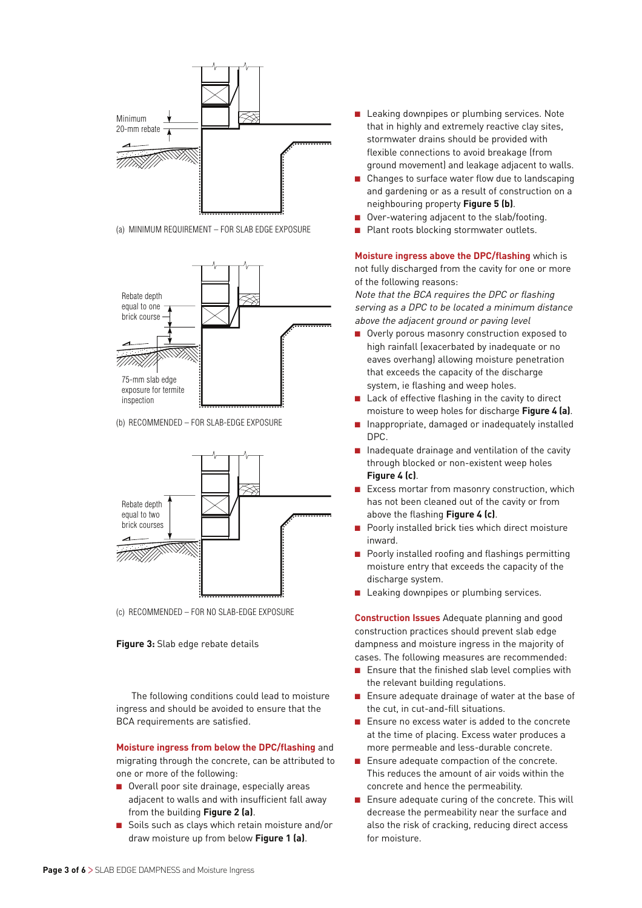

(a) MINIMUM REQUIREMENT – FOR SLAB EDGE EXPOSURE



(b) RECOMMENDED – FOR SLAB-EDGE EXPOSURE



(c) RECOMMENDED – FOR NO SLAB-EDGE EXPOSURE

#### **Figure 3:** Slab edge rebate details

The following conditions could lead to moisture ingress and should be avoided to ensure that the BCA requirements are satisfied.

**Moisture ingress from below the DPC/flashing** and migrating through the concrete, can be attributed to one or more of the following:

- Overall poor site drainage, especially areas adjacent to walls and with insufficient fall away from the building **Figure 2 (a)**.
- Soils such as clays which retain moisture and/or draw moisture up from below **Figure 1 (a)**.
- Leaking downpipes or plumbing services. Note that in highly and extremely reactive clay sites, stormwater drains should be provided with flexible connections to avoid breakage (from ground movement) and leakage adjacent to walls.
- Changes to surface water flow due to landscaping and gardening or as a result of construction on a neighbouring property **Figure 5 (b)**.
- Over-watering adjacent to the slab/footing.
- Plant roots blocking stormwater outlets.

**Moisture ingress above the DPC/flashing** which is not fully discharged from the cavity for one or more of the following reasons:

Note that the BCA requires the DPC or flashing serving as a DPC to be located a minimum distance above the adjacent ground or paving level

- Overly porous masonry construction exposed to high rainfall (exacerbated by inadequate or no eaves overhang) allowing moisture penetration that exceeds the capacity of the discharge system, ie flashing and weep holes.
- Lack of effective flashing in the cavity to direct moisture to weep holes for discharge **Figure 4 (a)**.
- Inappropriate, damaged or inadequately installed DPC.
- Inadequate drainage and ventilation of the cavity through blocked or non-existent weep holes **Figure 4 (c)**.
- Excess mortar from masonry construction, which has not been cleaned out of the cavity or from above the flashing **Figure 4 (c)**.
- Poorly installed brick ties which direct moisture inward.
- Poorly installed roofing and flashings permitting moisture entry that exceeds the capacity of the discharge system.
- Leaking downpipes or plumbing services.

**Construction Issues** Adequate planning and good construction practices should prevent slab edge dampness and moisture ingress in the majority of cases. The following measures are recommended:

- Ensure that the finished slab level complies with the relevant building regulations.
- Ensure adequate drainage of water at the base of the cut, in cut-and-fill situations.
- Ensure no excess water is added to the concrete at the time of placing. Excess water produces a more permeable and less-durable concrete.
- Ensure adequate compaction of the concrete. This reduces the amount of air voids within the concrete and hence the permeability.
- Ensure adequate curing of the concrete. This will decrease the permeability near the surface and also the risk of cracking, reducing direct access for moisture.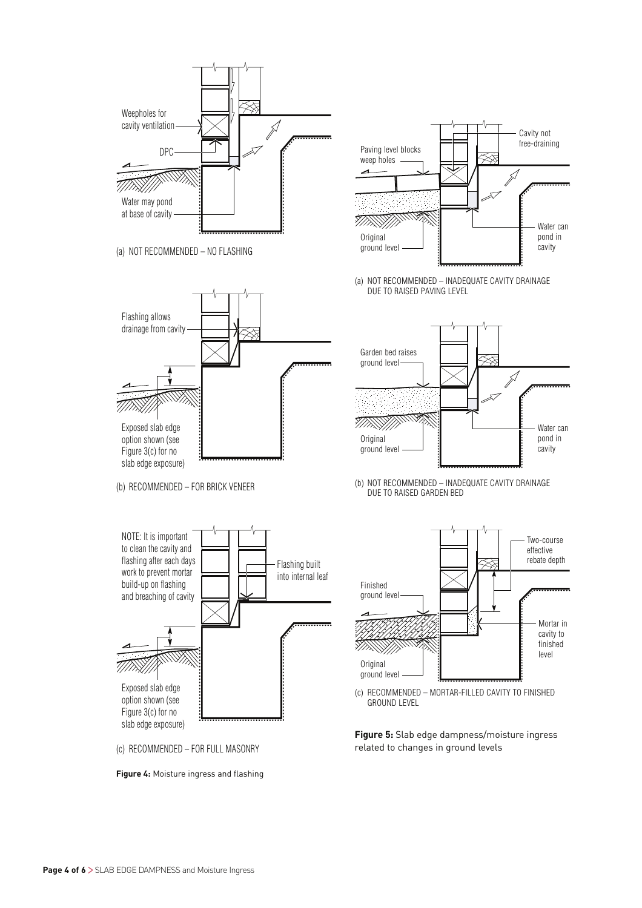

Water can pond in cavity

Water can pond in cavity

Mortar in cavity to finished level

Two-course effective rebate depth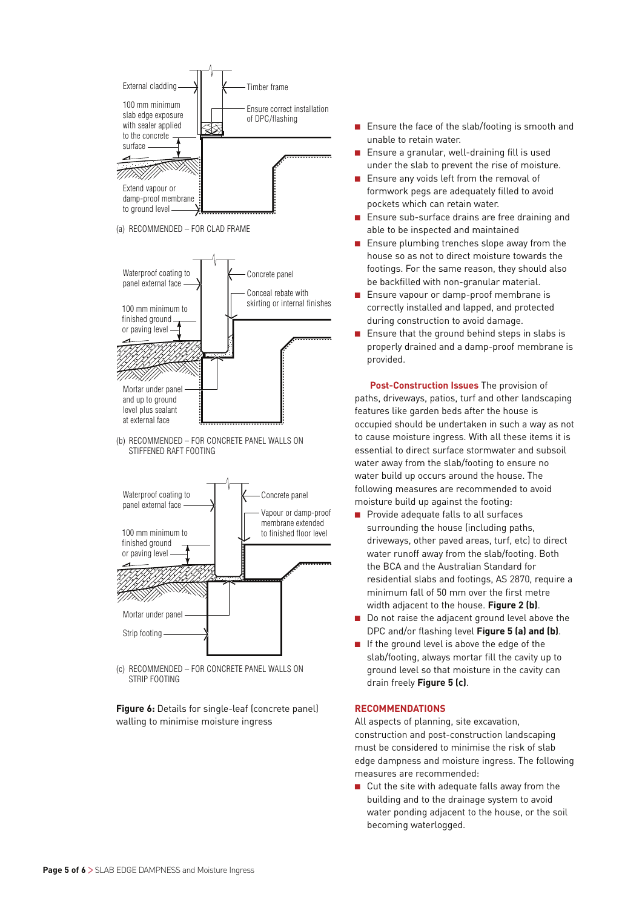

(a) RECOMMENDED – FOR CLAD FRAME



(b) RECOMMENDED – FOR CONCRETE PANEL WALLS ON STIFFENED RAFT FOOTING



(c) RECOMMENDED – FOR CONCRETE PANEL WALLS ON STRIP FOOTING

**Figure 6:** Details for single-leaf (concrete panel) walling to minimise moisture ingress

- Ensure the face of the slab/footing is smooth and unable to retain water.
- Ensure a granular, well-draining fill is used under the slab to prevent the rise of moisture.
- Ensure any voids left from the removal of formwork pegs are adequately filled to avoid pockets which can retain water.
- Ensure sub-surface drains are free draining and able to be inspected and maintained
- Ensure plumbing trenches slope away from the house so as not to direct moisture towards the footings. For the same reason, they should also be backfilled with non-granular material.
- Ensure vapour or damp-proof membrane is correctly installed and lapped, and protected during construction to avoid damage.
- Ensure that the ground behind steps in slabs is properly drained and a damp-proof membrane is provided.

**Post-Construction Issues** The provision of paths, driveways, patios, turf and other landscaping features like garden beds after the house is occupied should be undertaken in such a way as not to cause moisture ingress. With all these items it is essential to direct surface stormwater and subsoil water away from the slab/footing to ensure no water build up occurs around the house. The following measures are recommended to avoid moisture build up against the footing:

- Provide adequate falls to all surfaces surrounding the house (including paths, driveways, other paved areas, turf, etc) to direct water runoff away from the slab/footing. Both the BCA and the Australian Standard for residential slabs and footings, AS 2870, require a minimum fall of 50 mm over the first metre width adjacent to the house. **Figure 2 (b)**.
- Do not raise the adjacent ground level above the DPC and/or flashing level **Figure 5 (a) and (b)**.
- If the ground level is above the edge of the slab/footing, always mortar fill the cavity up to ground level so that moisture in the cavity can drain freely **Figure 5 (c)**.

#### **RECOMMENDATIONS**

All aspects of planning, site excavation, construction and post-construction landscaping must be considered to minimise the risk of slab edge dampness and moisture ingress. The following measures are recommended:

■ Cut the site with adequate falls away from the building and to the drainage system to avoid water ponding adjacent to the house, or the soil becoming waterlogged.